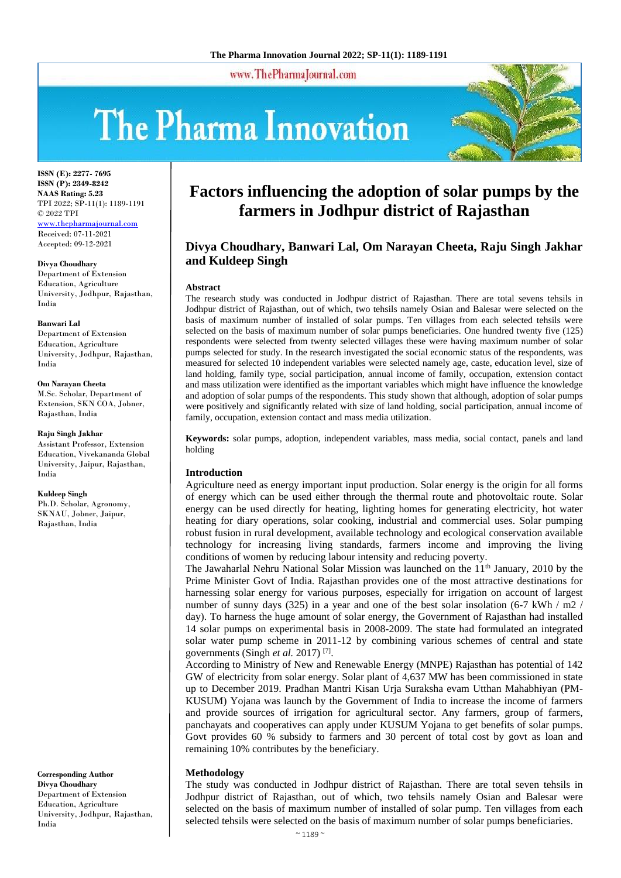www.ThePharmaJournal.com

# The Pharma Innovation



**ISSN (E): 2277- 7695 ISSN (P): 2349-8242 NAAS Rating: 5.23** TPI 2022; SP-11(1): 1189-1191 © 2022 TPI <www.thepharmajournal.com> Received: 07-11-2021 Accepted: 09-12-2021

**Divya Choudhary**

Department of Extension Education, Agriculture University, Jodhpur, Rajasthan, India

**Banwari Lal** Department of Extension Education, Agriculture University, Jodhpur, Rajasthan, India

#### **Om Narayan Cheeta**

M.Sc. Scholar, Department of Extension, SKN COA, Jobner, Rajasthan, India

#### **Raju Singh Jakhar**

Assistant Professor, Extension Education, Vivekananda Global University, Jaipur, Rajasthan, India

**Kuldeep Singh**

Ph.D. Scholar, Agronomy, SKNAU, Jobner, Jaipur, Rajasthan, India

**Corresponding Author Divya Choudhary** Department of Extension Education, Agriculture University, Jodhpur, Rajasthan, India

# **Factors influencing the adoption of solar pumps by the farmers in Jodhpur district of Rajasthan**

# **Divya Choudhary, Banwari Lal, Om Narayan Cheeta, Raju Singh Jakhar and Kuldeep Singh**

#### **Abstract**

The research study was conducted in Jodhpur district of Rajasthan. There are total sevens tehsils in Jodhpur district of Rajasthan, out of which, two tehsils namely Osian and Balesar were selected on the basis of maximum number of installed of solar pumps. Ten villages from each selected tehsils were selected on the basis of maximum number of solar pumps beneficiaries. One hundred twenty five (125) respondents were selected from twenty selected villages these were having maximum number of solar pumps selected for study. In the research investigated the social economic status of the respondents, was measured for selected 10 independent variables were selected namely age, caste, education level, size of land holding, family type, social participation, annual income of family, occupation, extension contact and mass utilization were identified as the important variables which might have influence the knowledge and adoption of solar pumps of the respondents. This study shown that although, adoption of solar pumps were positively and significantly related with size of land holding, social participation, annual income of family, occupation, extension contact and mass media utilization.

**Keywords:** solar pumps, adoption, independent variables, mass media, social contact, panels and land holding

#### **Introduction**

Agriculture need as energy important input production. Solar energy is the origin for all forms of energy which can be used either through the thermal route and photovoltaic route. Solar energy can be used directly for heating, lighting homes for generating electricity, hot water heating for diary operations, solar cooking, industrial and commercial uses. Solar pumping robust fusion in rural development, available technology and ecological conservation available technology for increasing living standards, farmers income and improving the living conditions of women by reducing labour intensity and reducing poverty.

The Jawaharlal Nehru National Solar Mission was launched on the 11<sup>th</sup> January, 2010 by the Prime Minister Govt of India. Rajasthan provides one of the most attractive destinations for harnessing solar energy for various purposes, especially for irrigation on account of largest number of sunny days (325) in a year and one of the best solar insolation (6-7 kWh / m2 / day). To harness the huge amount of solar energy, the Government of Rajasthan had installed 14 solar pumps on experimental basis in 2008-2009. The state had formulated an integrated solar water pump scheme in 2011-12 by combining various schemes of central and state governments (Singh *et al.* 2017)<sup>[7]</sup>.

According to Ministry of New and Renewable Energy (MNPE) Rajasthan has potential of 142 GW of electricity from solar energy. Solar plant of 4,637 MW has been commissioned in state up to December 2019. Pradhan Mantri Kisan Urja Suraksha evam Utthan Mahabhiyan (PM-KUSUM) Yojana was launch by the Government of India to increase the income of farmers and provide sources of irrigation for agricultural sector. Any farmers, group of farmers, panchayats and cooperatives can apply under KUSUM Yojana to get benefits of solar pumps. Govt provides 60 % subsidy to farmers and 30 percent of total cost by govt as loan and remaining 10% contributes by the beneficiary.

#### **Methodology**

The study was conducted in Jodhpur district of Rajasthan. There are total seven tehsils in Jodhpur district of Rajasthan, out of which, two tehsils namely Osian and Balesar were selected on the basis of maximum number of installed of solar pump. Ten villages from each selected tehsils were selected on the basis of maximum number of solar pumps beneficiaries.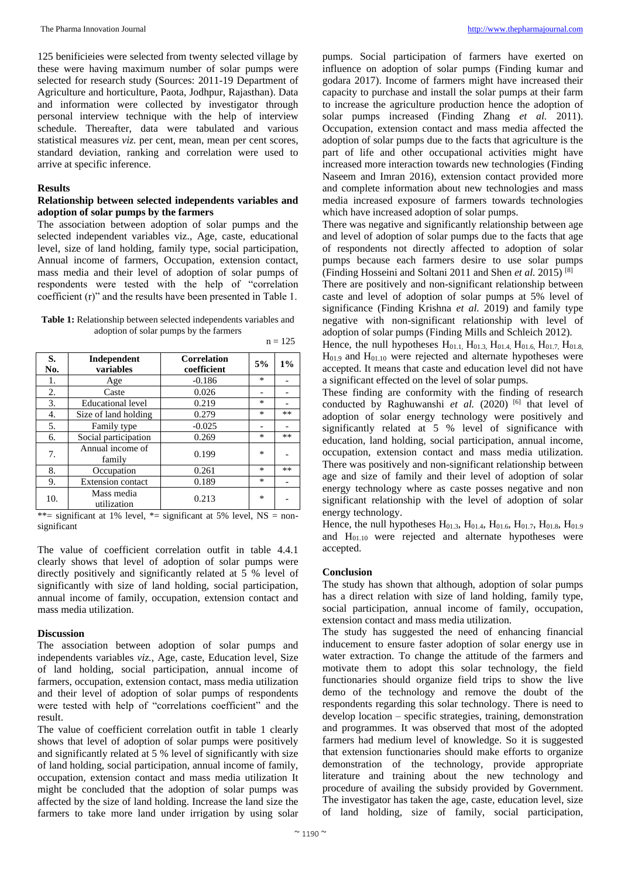125 benificieies were selected from twenty selected village by these were having maximum number of solar pumps were selected for research study (Sources: 2011-19 Department of Agriculture and horticulture, Paota, Jodhpur, Rajasthan). Data and information were collected by investigator through personal interview technique with the help of interview schedule. Thereafter, data were tabulated and various statistical measures *viz.* per cent, mean, mean per cent scores, standard deviation, ranking and correlation were used to arrive at specific inference.

#### **Results**

#### **Relationship between selected independents variables and adoption of solar pumps by the farmers**

The association between adoption of solar pumps and the selected independent variables viz., Age, caste, educational level, size of land holding, family type, social participation, Annual income of farmers, Occupation, extension contact, mass media and their level of adoption of solar pumps of respondents were tested with the help of "correlation coefficient (r)" and the results have been presented in Table 1.

**Table 1:** Relationship between selected independents variables and adoption of solar pumps by the farmers  $n = 125$ 

| S.<br>No. | Independent<br>variables   | Correlation<br>coefficient | 5%     | $1\%$ |
|-----------|----------------------------|----------------------------|--------|-------|
| 1.        | Age                        | $-0.186$                   | $\ast$ |       |
| 2.        | Caste                      | 0.026                      |        |       |
| 3.        | <b>Educational level</b>   | 0.219                      | ∗      |       |
| 4.        | Size of land holding       | 0.279                      | ∗      | **    |
| 5.        | Family type                | $-0.025$                   |        |       |
| 6.        | Social participation       | 0.269                      | $\ast$ | **    |
| 7.        | Annual income of<br>family | 0.199                      | ∗      |       |
| 8.        | Occupation                 | 0.261                      | $\ast$ | **    |
| 9.        | <b>Extension</b> contact   | 0.189                      | $\ast$ |       |
| 10.       | Mass media<br>utilization  | 0.213                      | ∗      |       |

\*\*= significant at 1% level, \*= significant at 5% level,  $NS = non$ significant

The value of coefficient correlation outfit in table 4.4.1 clearly shows that level of adoption of solar pumps were directly positively and significantly related at 5 % level of significantly with size of land holding, social participation, annual income of family, occupation, extension contact and mass media utilization.

#### **Discussion**

The association between adoption of solar pumps and independents variables *viz.,* Age, caste, Education level, Size of land holding, social participation, annual income of farmers, occupation, extension contact, mass media utilization and their level of adoption of solar pumps of respondents were tested with help of "correlations coefficient" and the result.

The value of coefficient correlation outfit in table 1 clearly shows that level of adoption of solar pumps were positively and significantly related at 5 % level of significantly with size of land holding, social participation, annual income of family, occupation, extension contact and mass media utilization It might be concluded that the adoption of solar pumps was affected by the size of land holding. Increase the land size the farmers to take more land under irrigation by using solar

pumps. Social participation of farmers have exerted on influence on adoption of solar pumps (Finding kumar and godara 2017). Income of farmers might have increased their capacity to purchase and install the solar pumps at their farm to increase the agriculture production hence the adoption of solar pumps increased (Finding Zhang *et al.* 2011). Occupation, extension contact and mass media affected the adoption of solar pumps due to the facts that agriculture is the part of life and other occupational activities might have increased more interaction towards new technologies (Finding Naseem and Imran 2016), extension contact provided more and complete information about new technologies and mass media increased exposure of farmers towards technologies which have increased adoption of solar pumps.

There was negative and significantly relationship between age and level of adoption of solar pumps due to the facts that age of respondents not directly affected to adoption of solar pumps because each farmers desire to use solar pumps (Finding Hosseini and Soltani 2011 and Shen *et al.* 2015) [8]

There are positively and non-significant relationship between caste and level of adoption of solar pumps at 5% level of significance (Finding Krishna *et al.* 2019) and family type negative with non-significant relationship with level of adoption of solar pumps (Finding Mills and Schleich 2012).

Hence, the null hypotheses  $H_{01.1}$ ,  $H_{01.3}$ ,  $H_{01.4}$ ,  $H_{01.6}$ ,  $H_{01.7}$ ,  $H_{01.8}$ ,  $H<sub>01.9</sub>$  and  $H<sub>01.10</sub>$  were rejected and alternate hypotheses were accepted. It means that caste and education level did not have a significant effected on the level of solar pumps.

These finding are conformity with the finding of research conducted by Raghuwanshi et al. (2020)<sup>[6]</sup> that level of adoption of solar energy technology were positively and significantly related at 5 % level of significance with education, land holding, social participation, annual income, occupation, extension contact and mass media utilization. There was positively and non-significant relationship between age and size of family and their level of adoption of solar energy technology where as caste posses negative and non significant relationship with the level of adoption of solar energy technology.

Hence, the null hypotheses  $H_{01,3}$ ,  $H_{01,4}$ ,  $H_{01,6}$ ,  $H_{01,7}$ ,  $H_{01,8}$ ,  $H_{01,9}$ and H01.10 were rejected and alternate hypotheses were accepted.

### **Conclusion**

The study has shown that although, adoption of solar pumps has a direct relation with size of land holding, family type, social participation, annual income of family, occupation, extension contact and mass media utilization.

The study has suggested the need of enhancing financial inducement to ensure faster adoption of solar energy use in water extraction. To change the attitude of the farmers and motivate them to adopt this solar technology, the field functionaries should organize field trips to show the live demo of the technology and remove the doubt of the respondents regarding this solar technology. There is need to develop location – specific strategies, training, demonstration and programmes. It was observed that most of the adopted farmers had medium level of knowledge. So it is suggested that extension functionaries should make efforts to organize demonstration of the technology, provide appropriate literature and training about the new technology and procedure of availing the subsidy provided by Government. The investigator has taken the age, caste, education level, size of land holding, size of family, social participation,